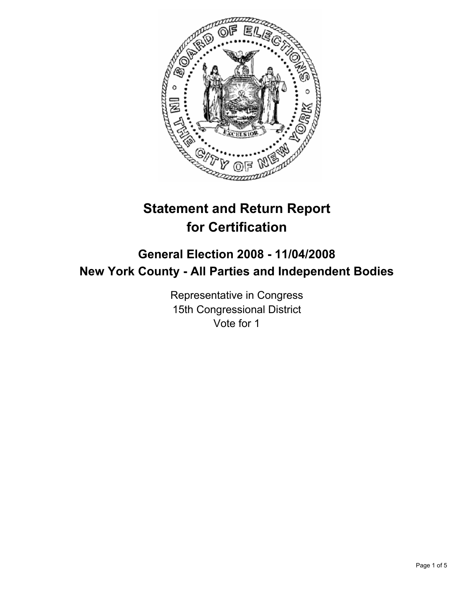

# **Statement and Return Report for Certification**

## **General Election 2008 - 11/04/2008 New York County - All Parties and Independent Bodies**

Representative in Congress 15th Congressional District Vote for 1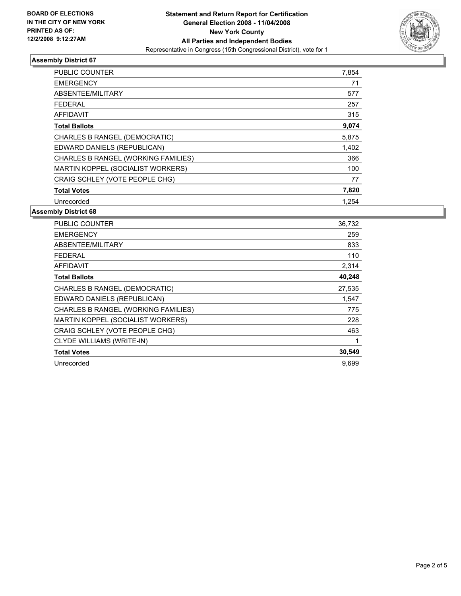

### **Assembly District 67**

| PUBLIC COUNTER                      | 7,854 |
|-------------------------------------|-------|
| <b>EMERGENCY</b>                    | 71    |
| ABSENTEE/MILITARY                   | 577   |
| FEDERAL                             | 257   |
| <b>AFFIDAVIT</b>                    | 315   |
| <b>Total Ballots</b>                | 9,074 |
| CHARLES B RANGEL (DEMOCRATIC)       | 5,875 |
| EDWARD DANIELS (REPUBLICAN)         | 1,402 |
| CHARLES B RANGEL (WORKING FAMILIES) | 366   |
| MARTIN KOPPEL (SOCIALIST WORKERS)   | 100   |
| CRAIG SCHLEY (VOTE PEOPLE CHG)      | 77    |
| <b>Total Votes</b>                  | 7,820 |
| Unrecorded                          | 1.254 |

#### **Assembly District 68**

| <b>PUBLIC COUNTER</b>               | 36,732 |
|-------------------------------------|--------|
| <b>EMERGENCY</b>                    | 259    |
| ABSENTEE/MILITARY                   | 833    |
| <b>FEDERAL</b>                      | 110    |
| <b>AFFIDAVIT</b>                    | 2,314  |
| <b>Total Ballots</b>                | 40,248 |
| CHARLES B RANGEL (DEMOCRATIC)       | 27,535 |
| EDWARD DANIELS (REPUBLICAN)         | 1,547  |
| CHARLES B RANGEL (WORKING FAMILIES) | 775    |
| MARTIN KOPPEL (SOCIALIST WORKERS)   | 228    |
| CRAIG SCHLEY (VOTE PEOPLE CHG)      | 463    |
| CLYDE WILLIAMS (WRITE-IN)           |        |
| <b>Total Votes</b>                  | 30,549 |
| Unrecorded                          | 9.699  |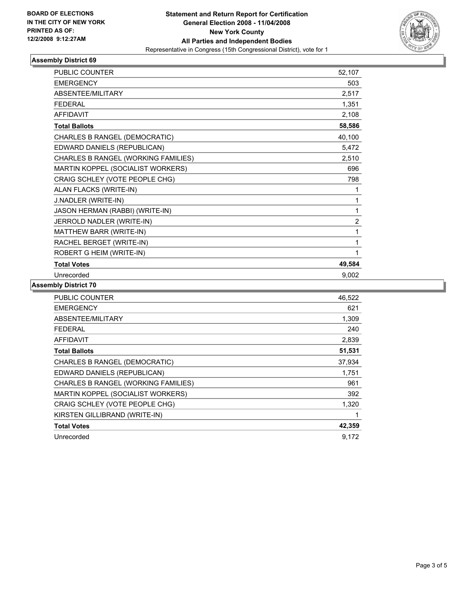

#### **Assembly District 69**

| <b>PUBLIC COUNTER</b>               | 52,107 |
|-------------------------------------|--------|
| <b>EMERGENCY</b>                    | 503    |
| ABSENTEE/MILITARY                   | 2,517  |
| <b>FEDERAL</b>                      | 1,351  |
| <b>AFFIDAVIT</b>                    | 2,108  |
| <b>Total Ballots</b>                | 58,586 |
| CHARLES B RANGEL (DEMOCRATIC)       | 40,100 |
| EDWARD DANIELS (REPUBLICAN)         | 5,472  |
| CHARLES B RANGEL (WORKING FAMILIES) | 2,510  |
| MARTIN KOPPEL (SOCIALIST WORKERS)   | 696    |
| CRAIG SCHLEY (VOTE PEOPLE CHG)      | 798    |
| ALAN FLACKS (WRITE-IN)              |        |
| J.NADLER (WRITE-IN)                 |        |
| JASON HERMAN (RABBI) (WRITE-IN)     | 1      |
| JERROLD NADLER (WRITE-IN)           | 2      |
| MATTHEW BARR (WRITE-IN)             | 1      |
| RACHEL BERGET (WRITE-IN)            |        |
| ROBERT G HEIM (WRITE-IN)            |        |
| <b>Total Votes</b>                  | 49,584 |
| Unrecorded                          | 9,002  |

**Assembly District 70**

| <b>PUBLIC COUNTER</b>               | 46,522 |
|-------------------------------------|--------|
| <b>EMERGENCY</b>                    | 621    |
| ABSENTEE/MILITARY                   | 1,309  |
| <b>FEDERAL</b>                      | 240    |
| <b>AFFIDAVIT</b>                    | 2,839  |
| <b>Total Ballots</b>                | 51,531 |
| CHARLES B RANGEL (DEMOCRATIC)       | 37,934 |
| EDWARD DANIELS (REPUBLICAN)         | 1.751  |
| CHARLES B RANGEL (WORKING FAMILIES) | 961    |
| MARTIN KOPPEL (SOCIALIST WORKERS)   | 392    |
| CRAIG SCHLEY (VOTE PEOPLE CHG)      | 1,320  |
| KIRSTEN GILLIBRAND (WRITE-IN)       |        |
| <b>Total Votes</b>                  | 42,359 |
| Unrecorded                          | 9,172  |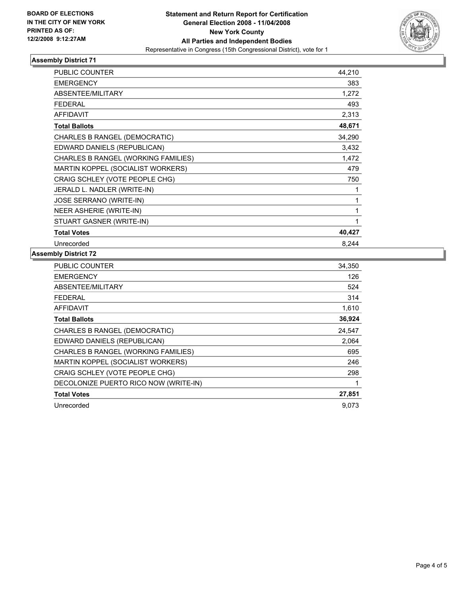

#### **Assembly District 71**

| <b>PUBLIC COUNTER</b>               | 44,210 |
|-------------------------------------|--------|
| <b>EMERGENCY</b>                    | 383    |
| ABSENTEE/MILITARY                   | 1,272  |
| <b>FEDERAL</b>                      | 493    |
| <b>AFFIDAVIT</b>                    | 2,313  |
| <b>Total Ballots</b>                | 48,671 |
| CHARLES B RANGEL (DEMOCRATIC)       | 34,290 |
| EDWARD DANIELS (REPUBLICAN)         | 3,432  |
| CHARLES B RANGEL (WORKING FAMILIES) | 1,472  |
| MARTIN KOPPEL (SOCIALIST WORKERS)   | 479    |
| CRAIG SCHLEY (VOTE PEOPLE CHG)      | 750    |
| JERALD L. NADLER (WRITE-IN)         |        |
| JOSE SERRANO (WRITE-IN)             |        |
| NEER ASHERIE (WRITE-IN)             |        |
| STUART GASNER (WRITE-IN)            |        |
| <b>Total Votes</b>                  | 40,427 |
| Unrecorded                          | 8.244  |

#### **Assembly District 72**

| 34,350 |
|--------|
| 126    |
| 524    |
| 314    |
| 1,610  |
| 36,924 |
| 24,547 |
| 2,064  |
| 695    |
| 246    |
| 298    |
|        |
| 27,851 |
| 9,073  |
|        |